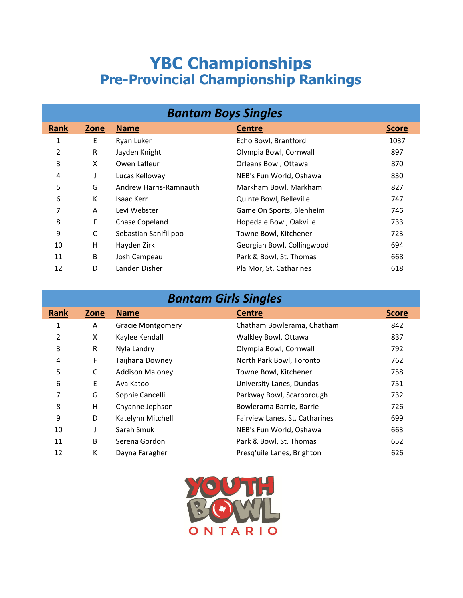## **YBC Championships Pre-Provincial Championship Rankings**

| <b>Bantam Boys Singles</b> |      |                        |                            |              |  |
|----------------------------|------|------------------------|----------------------------|--------------|--|
| Rank                       | Zone | <b>Name</b>            | <b>Centre</b>              | <b>Score</b> |  |
| 1                          | Ε    | Ryan Luker             | Echo Bowl, Brantford       | 1037         |  |
| 2                          | R    | Jayden Knight          | Olympia Bowl, Cornwall     | 897          |  |
| 3                          | X    | Owen Lafleur           | Orleans Bowl, Ottawa       | 870          |  |
| 4                          | J    | Lucas Kelloway         | NEB's Fun World, Oshawa    | 830          |  |
| 5                          | G    | Andrew Harris-Ramnauth | Markham Bowl, Markham      | 827          |  |
| 6                          | К    | Isaac Kerr             | Quinte Bowl, Belleville    | 747          |  |
| 7                          | A    | Levi Webster           | Game On Sports, Blenheim   | 746          |  |
| 8                          | F    | Chase Copeland         | Hopedale Bowl, Oakville    | 733          |  |
| 9                          | С    | Sebastian Sanifilippo  | Towne Bowl, Kitchener      | 723          |  |
| 10                         | н    | Hayden Zirk            | Georgian Bowl, Collingwood | 694          |  |
| 11                         | B    | Josh Campeau           | Park & Bowl, St. Thomas    | 668          |  |
| 12                         | D    | Landen Disher          | Pla Mor, St. Catharines    | 618          |  |

| <b>Bantam Girls Singles</b> |  |
|-----------------------------|--|
|                             |  |

|             |      |                          | —                              |              |
|-------------|------|--------------------------|--------------------------------|--------------|
| <b>Rank</b> | Zone | <b>Name</b>              | <b>Centre</b>                  | <b>Score</b> |
| 1           | A    | <b>Gracie Montgomery</b> | Chatham Bowlerama, Chatham     | 842          |
| 2           | X    | Kaylee Kendall           | Walkley Bowl, Ottawa           | 837          |
| 3           | R    | Nyla Landry              | Olympia Bowl, Cornwall         | 792          |
| 4           | F    | Taijhana Downey          | North Park Bowl, Toronto       | 762          |
| 5           | C    | <b>Addison Maloney</b>   | Towne Bowl, Kitchener          | 758          |
| 6           | E    | Ava Katool               | University Lanes, Dundas       | 751          |
| 7           | G    | Sophie Cancelli          | Parkway Bowl, Scarborough      | 732          |
| 8           | H    | Chyanne Jephson          | Bowlerama Barrie, Barrie       | 726          |
| 9           | D    | Katelynn Mitchell        | Fairview Lanes, St. Catharines | 699          |
| 10          |      | Sarah Smuk               | NEB's Fun World, Oshawa        | 663          |
| 11          | B    | Serena Gordon            | Park & Bowl, St. Thomas        | 652          |
| 12          | К    | Dayna Faragher           | Presq'uile Lanes, Brighton     | 626          |

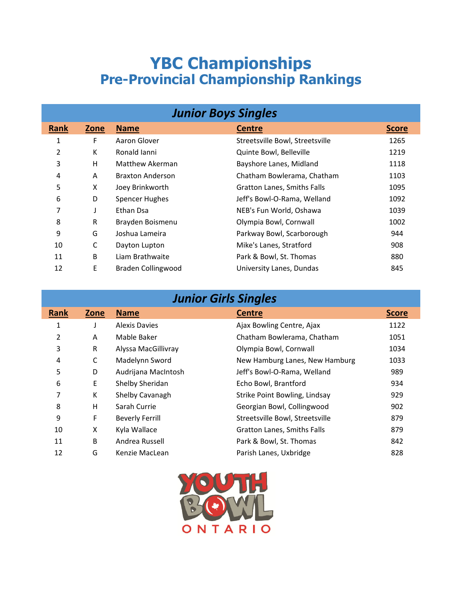## **YBC Championships Pre-Provincial Championship Rankings**

| <b>Junior Boys Singles</b> |      |                           |                                 |              |  |
|----------------------------|------|---------------------------|---------------------------------|--------------|--|
| Rank                       | Zone | <b>Name</b>               | <b>Centre</b>                   | <b>Score</b> |  |
| 1                          | F    | Aaron Glover              | Streetsville Bowl, Streetsville | 1265         |  |
| 2                          | К    | Ronald Janni              | Quinte Bowl, Belleville         | 1219         |  |
| 3                          | H    | Matthew Akerman           | Bayshore Lanes, Midland         | 1118         |  |
| 4                          | A    | <b>Braxton Anderson</b>   | Chatham Bowlerama, Chatham      | 1103         |  |
| 5                          | X    | Joey Brinkworth           | Gratton Lanes, Smiths Falls     | 1095         |  |
| 6                          | D    | <b>Spencer Hughes</b>     | Jeff's Bowl-O-Rama, Welland     | 1092         |  |
| 7                          |      | Ethan Dsa                 | NEB's Fun World, Oshawa         | 1039         |  |
| 8                          | R    | Brayden Boismenu          | Olympia Bowl, Cornwall          | 1002         |  |
| 9                          | G    | Joshua Lameira            | Parkway Bowl, Scarborough       | 944          |  |
| 10                         | C    | Dayton Lupton             | Mike's Lanes, Stratford         | 908          |  |
| 11                         | B    | Liam Brathwaite           | Park & Bowl, St. Thomas         | 880          |  |
| 12                         | Ε    | <b>Braden Collingwood</b> | University Lanes, Dundas        | 845          |  |

| <b>Junior Girls Singles</b> |  |  |
|-----------------------------|--|--|
|                             |  |  |
|                             |  |  |
|                             |  |  |

| <b>Rank</b> | Zone | <b>Name</b>            | <b>Centre</b>                      | <b>Score</b> |  |
|-------------|------|------------------------|------------------------------------|--------------|--|
| 1           |      | <b>Alexis Davies</b>   | Ajax Bowling Centre, Ajax          | 1122         |  |
| 2           | A    | Mable Baker            | Chatham Bowlerama, Chatham         | 1051         |  |
| 3           | R    | Alyssa MacGillivray    | Olympia Bowl, Cornwall             | 1034         |  |
| 4           | C    | Madelynn Sword         | New Hamburg Lanes, New Hamburg     | 1033         |  |
| 5           | D    | Audrijana MacIntosh    | Jeff's Bowl-O-Rama, Welland        | 989          |  |
| 6           | E    | Shelby Sheridan        | Echo Bowl, Brantford               | 934          |  |
| 7           | К    | Shelby Cavanagh        | Strike Point Bowling, Lindsay      | 929          |  |
| 8           | H    | Sarah Currie           | Georgian Bowl, Collingwood         | 902          |  |
| 9           | F    | <b>Beverly Ferrill</b> | Streetsville Bowl, Streetsville    | 879          |  |
| 10          | X    | Kyla Wallace           | <b>Gratton Lanes, Smiths Falls</b> | 879          |  |
| 11          | B    | Andrea Russell         | Park & Bowl, St. Thomas            | 842          |  |
| 12          | G    | Kenzie MacLean         | Parish Lanes, Uxbridge             | 828          |  |
|             |      |                        |                                    |              |  |